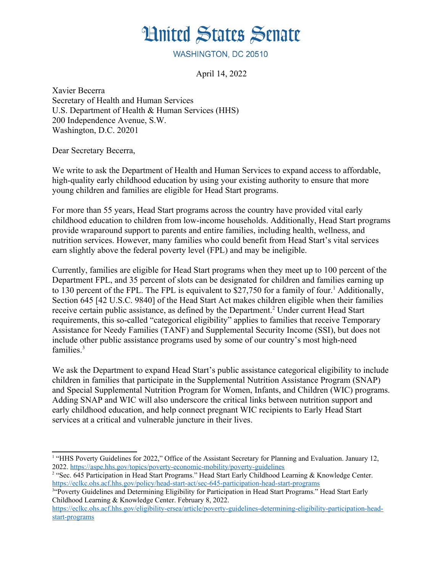## **Hnited States Senate**

WASHINGTON, DC 20510

<span id="page-0-0"></span>April 14, 2022

Xavier Becerra Secretary of Health and Human Services U.S. Department of Health & Human Services (HHS) 200 Independence Avenue, S.W. Washington, D.C. 20201

Dear Secretary Becerra,

We write to ask the Department of Health and Human Services to expand access to affordable, high-quality early childhood education by using your existing authority to ensure that more young children and families are eligible for Head Start programs.

For more than 55 years, Head Start programs across the country have provided vital early childhood education to children from low-income households. Additionally, Head Start programs provide wraparound support to parents and entire families, including health, wellness, and nutrition services. However, many families who could benefit from Head Start's vital services earn slightly above the federal poverty level (FPL) and may be ineligible.

<span id="page-0-2"></span>Currently, families are eligible for Head Start programs when they meet up to 100 percent of the Department FPL, and 35 percent of slots can be designated for children and families earning up to [1](#page-0-1)30 percent of the FPL. The FPL is equivalent to \$27,750 for a family of four.<sup>1</sup> Additionally, Section 645 [42 U.S.C. 9840] of the Head Start Act makes children eligible when their families receive certain public assistance, as defined by the Department.<sup>[2](#page-0-3)</sup> Under current Head Start requirements, this so-called "categorical eligibility" applies to families that receive Temporary Assistance for Needy Families (TANF) and Supplemental Security Income (SSI), but does not include other public assistance programs used by some of our country's most high-need families. $3$ 

<span id="page-0-4"></span>We ask the Department to expand Head Start's public assistance categorical eligibility to include children in families that participate in the Supplemental Nutrition Assistance Program (SNAP) and Special Supplemental Nutrition Program for Women, Infants, and Children (WIC) programs. Adding SNAP and WIC will also underscore the critical links between nutrition support and early childhood education, and help connect pregnant WIC recipients to Early Head Start services at a critical and vulnerable juncture in their lives.

<span id="page-0-1"></span><sup>&</sup>lt;sup>[1](#page-0-0)</sup> "HHS Poverty Guidelines for 2022." Office of the Assistant Secretary for Planning and Evaluation. January 12, 2022.<https://aspe.hhs.gov/topics/poverty-economic-mobility/poverty-guidelines>

<span id="page-0-3"></span><sup>&</sup>lt;sup>[2](#page-0-2)</sup> "Sec. 645 Participation in Head Start Programs." Head Start Early Childhood Learning & Knowledge Center. <https://eclkc.ohs.acf.hhs.gov/policy/head-start-act/sec-645-participation-head-start-programs>

<span id="page-0-5"></span><sup>&</sup>lt;sup>[3](#page-0-4)"</sup>Poverty Guidelines and Determining Eligibility for Participation in Head Start Programs." Head Start Early Childhood Learning & Knowledge Center. February 8, 2022.

[https://eclkc.ohs.acf.hhs.gov/eligibility-ersea/article/poverty-guidelines-determining-eligibility-participation-head](https://eclkc.ohs.acf.hhs.gov/eligibility-ersea/article/poverty-guidelines-determining-eligibility-participation-head-start-programs)[start-programs](https://eclkc.ohs.acf.hhs.gov/eligibility-ersea/article/poverty-guidelines-determining-eligibility-participation-head-start-programs)